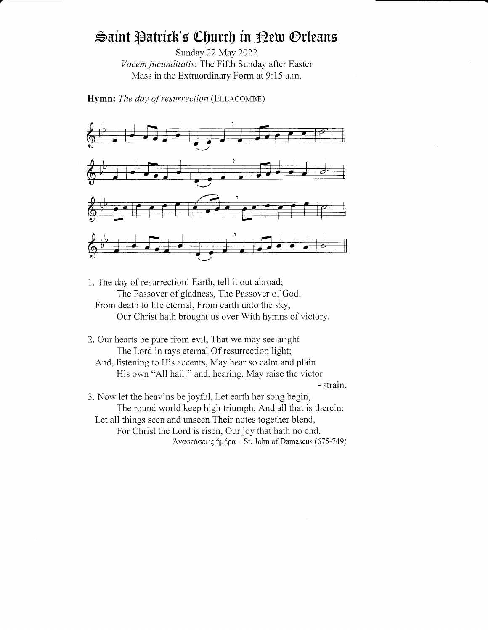# Saint Patrick's Church in Dew Orleans

Sunday 22May 2022 Vocem jucunditatis: The Fifth Sunday after Easter Mass in the Extraordinary Form at 9:15 a.m.

Hymn: The day of resurrection (ELLACOMBE)



1. The day of resurrection! Earth, tell it out abroad; The Passover of gladness, The Passover of God. From death to life eternal, From earth unto the sky, Our Christ hath brought us over With hymns of victory.

2. Our hearts be pure from evil, That we may see aright The Lord in rays etemal Of resurrection light; And, listening to His accents, May hear so calm and plain

His own "Al1 hail!" and, hearing, May raise the victor  $\mathsf{L}$  strain.

3. Now let the heav'ns be joyful, Let earth her song begin, The round world keep high triumph, And all that is therein; Let all things seen and unseen Their notes together blend, For Christ the Lord is risen, Our joy that hath no end. Aναστάσεως ήμέρα - St. John of Damascus (675-749)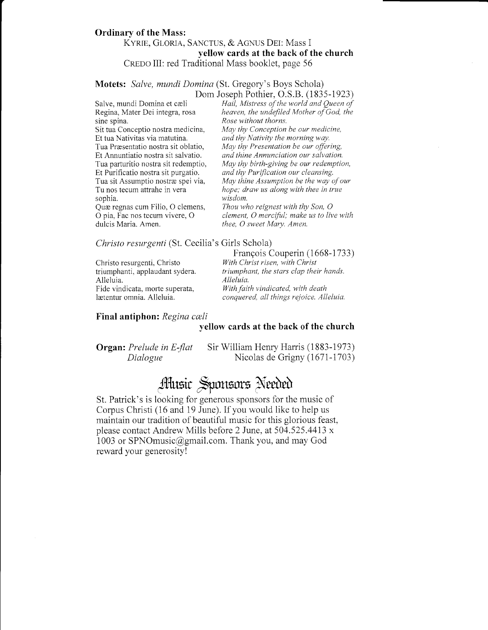### Ordinary of the Mass: KYRIE, GLORIA, SANCTUS, & AGNUS DEI: Mass I yellow cards at the back of the church CREDO III: red Traditional Mass booklet, page 56

## Motets: Salve, mundi Domina (St. Gregory's Boys Schola) Dom Joseph Pothier, O.S.B. (1835-1923)

sine spina. Rose without thorns.<br>Sit tua Conceptio nostra medicina, May thy Conception Et Purificatio nostra sit purgatio. and thy Purification our cleansing.<br>Tua sit Assumptio nostræ spei via, May thine Assumption be the way of sophia. wisdom.<br>Quæ regnas cum Filio, O clemens, Thou wh Quæ regnas cum Filio, O clemens, Thou who reignest with thy Son, O o pia, Fac nos tecum vivere, O clement, O merciful; make us to liv

Salve, mundi Domina et cæli Hail, Mistress of the world and Queen of Regina, Mater Dei integra, rosa heaven, the undefiled Mother of God, the Regina, Mater Dei integra, rosa heaven, the undefiled Mother of God, the sine spina.<br>Rose without thorns. Sit tua Conceptio nostra medicina, May thy Conception be our medicine,<br>Et tua Nativitas via matutina.  $and$  thy Nativity the morning way. and thy Nativity the morning way. Tua Præsentatio nostra sit oblatio, May thy Presentation be our offering,<br>Et Annuntiatio nostra sit salvatio. and thine Annunciation our salvation. and thine Annunciation our salvation. Tua parturitio nostra sit redemptio, May thy birth-giving be our redemption, Tua sit Assumptio nostræ spei via, May thine Assumption be the way of our Tu nos tecum attrahe in vera hope; draw us along with thee in true Tu nos tecum attrahe in vera *hope; draw us along with thee in true* sophia.<br>wisdom.

O pia, Fac nos tecum vivere, O clement, O merciful; make us to live with dulcis Maria. Amen.<br>
thee, O sweet Mary. Amen. thee, O sweet Mary. Amen.

### Christo resurgenti (St. Cecilia's Girls Schola)

Christo resurgenti, Christo With Christ risen, with Christ triumphanti, applaudant sydera. triumphant, the stars clap their Alleluia.<br>Fide vindicata, morte superata, Fide vindicata, morte superata, *With faith vindicated, with death* lætentur omnia. Alleluia. *conquered, all things rejoice. All* 

François Couperin (1668-1733) triumphant, the stars clap their hands.<br>Alleluia. conquered, all things rejoice. Alleluia.

### Final antiphon: Regina cæli

### yellow cards at the back of the church

Organ: Prelude in E-flat Sir William Henry Harris (1883-1973) Dialogue Nicolas de Grigny (1671-1703)

# Music Sponsors Needed

St. Patrick's is looking for generous sponsors for the music of Corpus Christi (16 and 19 June). If you would like to help us maintain our tradition of beautiful music for this glorious feast, please contact Andrew Mills before 2 June, at 504.525.4413 x 1003 or SPNOmusic@gmail.com. Thank you, and may God reward your generosity!